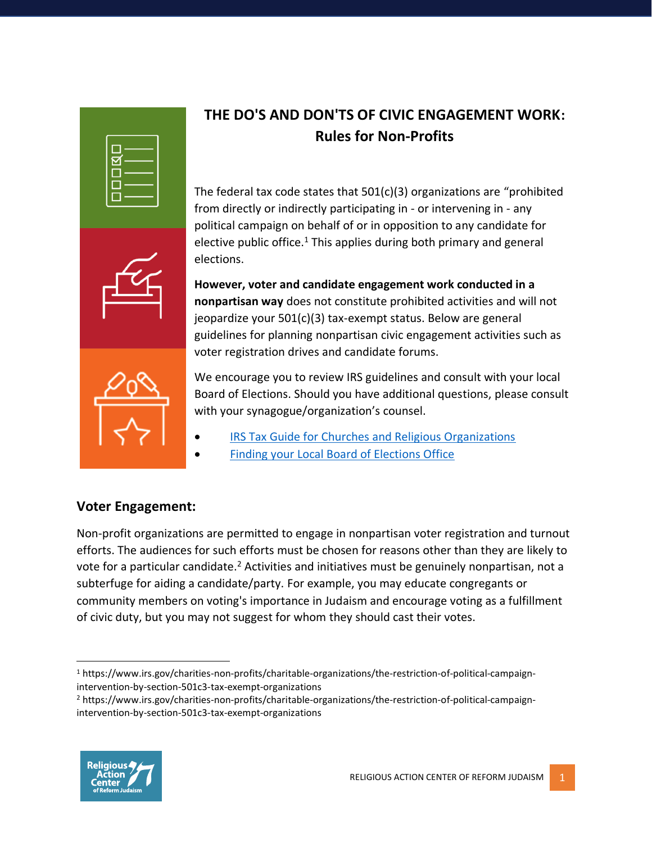| D<br>F. |  |
|---------|--|

## **THE DO'S AND DON'TS OF CIVIC ENGAGEMENT WORK: Rules for Non-Profits**

The federal tax code states that 501(c)(3) organizations are "prohibited from directly or indirectly participating in - or intervening in - any political campaign on behalf of or in opposition to any candidate for elective public office.<sup>1</sup> This applies during both primary and general elections.

**However, voter and candidate engagement work conducted in a nonpartisan way** does not constitute prohibited activities and will not jeopardize your 501(c)(3) tax-exempt status. Below are general guidelines for planning nonpartisan civic engagement activities such as voter registration drives and candidate forums.



We encourage you to review IRS guidelines and consult with your local Board of Elections. Should you have additional questions, please consult with your synagogue/organization's counsel.

- [IRS Tax Guide for Churches and Religious Organizations](https://www.irs.gov/pub/irs-pdf/p1828.pdf)
- [Finding your Local Board of Elections Office](https://www.usa.gov/election-office)

## **Voter Engagement:**

Non-profit organizations are permitted to engage in nonpartisan voter registration and turnout efforts. The audiences for such efforts must be chosen for reasons other than they are likely to vote for a particular candidate.<sup>2</sup> Activities and initiatives must be genuinely nonpartisan, not a subterfuge for aiding a candidate/party. For example, you may educate congregants or community members on voting's importance in Judaism and encourage voting as a fulfillment of civic duty, but you may not suggest for whom they should cast their votes.

l <sup>1</sup> https://www.irs.gov/charities-non-profits/charitable-organizations/the-restriction-of-political-campaignintervention-by-section-501c3-tax-exempt-organizations

<sup>2</sup> https://www.irs.gov/charities-non-profits/charitable-organizations/the-restriction-of-political-campaignintervention-by-section-501c3-tax-exempt-organizations

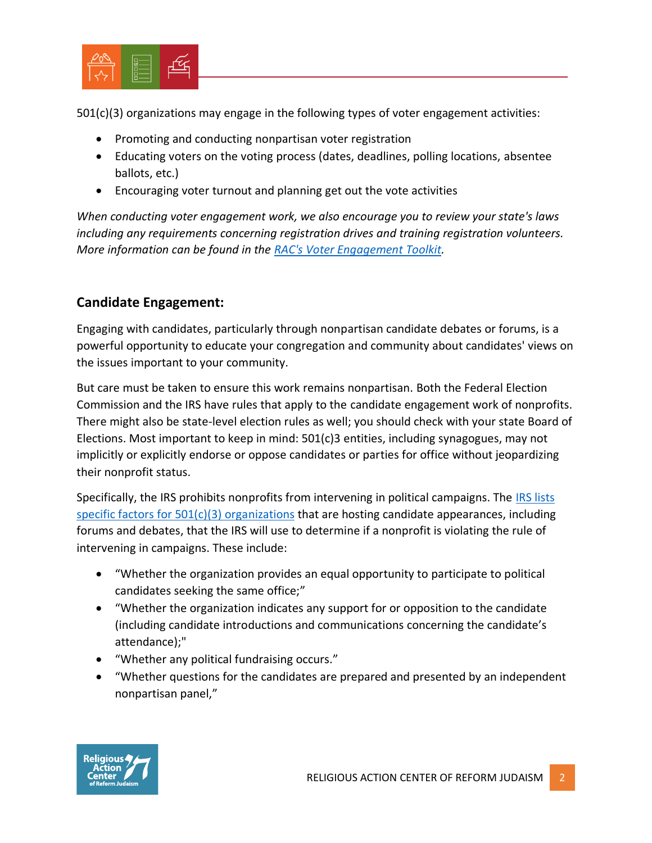

501(c)(3) organizations may engage in the following types of voter engagement activities:

- Promoting and conducting nonpartisan voter registration
- Educating voters on the voting process (dates, deadlines, polling locations, absentee ballots, etc.)
- Encouraging voter turnout and planning get out the vote activities

*When conducting voter engagement work, we also encourage you to review your state's laws including any requirements concerning registration drives and training registration volunteers. More information can be found in the [RAC's Voter Engagement Toolkit.](http://www.rac.org/voterengagementtoolkit)*

## **Candidate Engagement:**

Engaging with candidates, particularly through nonpartisan candidate debates or forums, is a powerful opportunity to educate your congregation and community about candidates' views on the issues important to your community.

But care must be taken to ensure this work remains nonpartisan. Both the Federal Election Commission and the IRS have rules that apply to the candidate engagement work of nonprofits. There might also be state-level election rules as well; you should check with your state Board of Elections. Most important to keep in mind: 501(c)3 entities, including synagogues, may not implicitly or explicitly endorse or oppose candidates or parties for office without jeopardizing their nonprofit status.

Specifically, the IRS prohibits nonprofits from intervening in political campaigns. The [IRS lists](https://www.irs.gov/pub/irs-drop/rr-07-41.pdf)  [specific factors for 501\(c\)\(3\) organizations](https://www.irs.gov/pub/irs-drop/rr-07-41.pdf) that are hosting candidate appearances, including forums and debates, that the IRS will use to determine if a nonprofit is violating the rule of intervening in campaigns. These include:

- "Whether the organization provides an equal opportunity to participate to political candidates seeking the same office;"
- "Whether the organization indicates any support for or opposition to the candidate (including candidate introductions and communications concerning the candidate's attendance);"
- "Whether any political fundraising occurs."
- "Whether questions for the candidates are prepared and presented by an independent nonpartisan panel,"

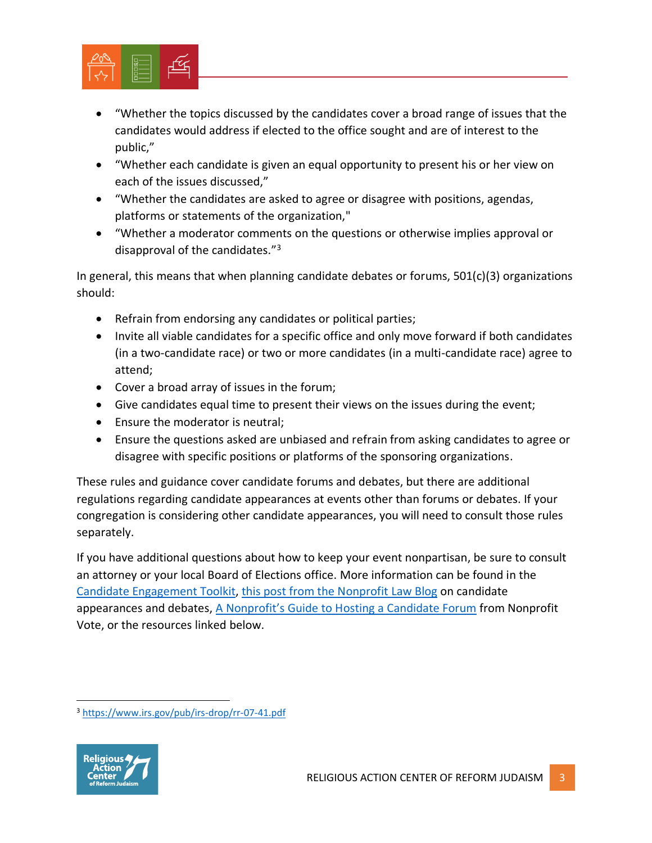

- "Whether the topics discussed by the candidates cover a broad range of issues that the candidates would address if elected to the office sought and are of interest to the public,"
- "Whether each candidate is given an equal opportunity to present his or her view on each of the issues discussed,"
- "Whether the candidates are asked to agree or disagree with positions, agendas, platforms or statements of the organization,"
- "Whether a moderator comments on the questions or otherwise implies approval or disapproval of the candidates."<sup>3</sup>

In general, this means that when planning candidate debates or forums, 501(c)(3) organizations should:

- Refrain from endorsing any candidates or political parties;
- Invite all viable candidates for a specific office and only move forward if both candidates (in a two-candidate race) or two or more candidates (in a multi-candidate race) agree to attend;
- Cover a broad array of issues in the forum;
- Give candidates equal time to present their views on the issues during the event;
- Ensure the moderator is neutral;
- Ensure the questions asked are unbiased and refrain from asking candidates to agree or disagree with specific positions or platforms of the sponsoring organizations.

These rules and guidance cover candidate forums and debates, but there are additional regulations regarding candidate appearances at events other than forums or debates. If your congregation is considering other candidate appearances, you will need to consult those rules separately.

If you have additional questions about how to keep your event nonpartisan, be sure to consult an attorney or your local Board of Elections office. More information can be found in the [Candidate Engagement Toolkit,](http://www.rac.org/candidateengagementtoolkit) [this post from the Nonprofit Law Blog](http://www.nonprofitlawblog.com/501c3-electioneering-rules-candidate-appearances-debates/) on candidate appearances and debates, [A Nonprofit's Guide to Hosting a Candidate Forum](https://www.nonprofitvote.org/documents/2018/02/hosting-candidate-forum-nonprofit-guide.pdf/) from Nonprofit Vote, or the resources linked below.

<sup>3</sup> <https://www.irs.gov/pub/irs-drop/rr-07-41.pdf>



l